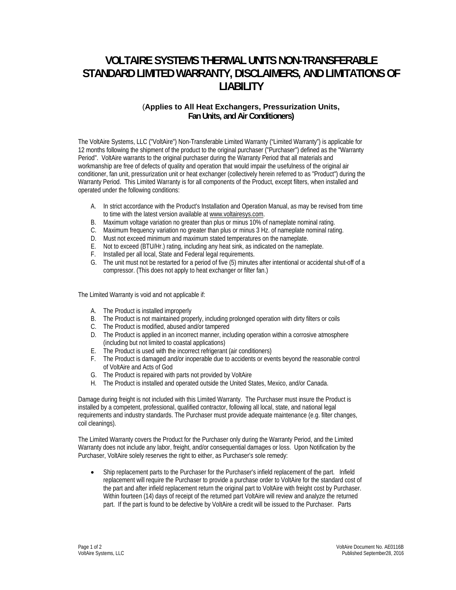## **VOLTAIRE SYSTEMS THERMAL UNITS NON-TRANSFERABLE STANDARD LIMITED WARRANTY, DISCLAIMERS, AND LIMITATIONS OF LIABILITY**

## (**Applies to All Heat Exchangers, Pressurization Units, Fan Units, and Air Conditioners)**

The VoltAire Systems, LLC ("VoltAire") Non-Transferable Limited Warranty ("Limited Warranty") is applicable for 12 months following the shipment of the product to the original purchaser ("Purchaser") defined as the "Warranty Period". VoltAire warrants to the original purchaser during the Warranty Period that all materials and workmanship are free of defects of quality and operation that would impair the usefulness of the original air conditioner, fan unit, pressurization unit or heat exchanger (collectively herein referred to as "Product") during the Warranty Period. This Limited Warranty is for all components of the Product, except filters, when installed and operated under the following conditions:

- A. In strict accordance with the Product's Installation and Operation Manual, as may be revised from time to time with the latest version available at www.voltairesys.com.
- B. Maximum voltage variation no greater than plus or minus 10% of nameplate nominal rating.
- C. Maximum frequency variation no greater than plus or minus 3 Hz. of nameplate nominal rating.
- D. Must not exceed minimum and maximum stated temperatures on the nameplate.
- E. Not to exceed (BTU/Hr.) rating, including any heat sink, as indicated on the nameplate.
- F. Installed per all local, State and Federal legal requirements.
- G. The unit must not be restarted for a period of five (5) minutes after intentional or accidental shut-off of a compressor. (This does not apply to heat exchanger or filter fan.)

The Limited Warranty is void and not applicable if:

- A. The Product is installed improperly
- B. The Product is not maintained properly, including prolonged operation with dirty filters or coils
- C. The Product is modified, abused and/or tampered
- D. The Product is applied in an incorrect manner, including operation within a corrosive atmosphere (including but not limited to coastal applications)
- E. The Product is used with the incorrect refrigerant (air conditioners)
- F. The Product is damaged and/or inoperable due to accidents or events beyond the reasonable control of VoltAire and Acts of God
- G. The Product is repaired with parts not provided by VoltAire
- H. The Product is installed and operated outside the United States, Mexico, and/or Canada.

Damage during freight is not included with this Limited Warranty. The Purchaser must insure the Product is installed by a competent, professional, qualified contractor, following all local, state, and national legal requirements and industry standards. The Purchaser must provide adequate maintenance (e.g. filter changes, coil cleanings).

The Limited Warranty covers the Product for the Purchaser only during the Warranty Period, and the Limited Warranty does not include any labor, freight, and/or consequential damages or loss. Upon Notification by the Purchaser, VoltAire solely reserves the right to either, as Purchaser's sole remedy:

 Ship replacement parts to the Purchaser for the Purchaser's infield replacement of the part. Infield replacement will require the Purchaser to provide a purchase order to VoltAire for the standard cost of the part and after infield replacement return the original part to VoltAire with freight cost by Purchaser. Within fourteen (14) days of receipt of the returned part VoltAire will review and analyze the returned part. If the part is found to be defective by VoltAire a credit will be issued to the Purchaser. Parts